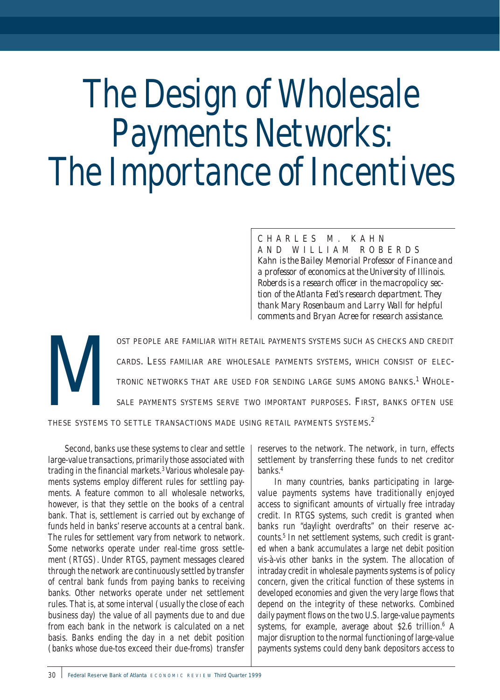# The Design of Wholesale Payments Networks: The Importance of Incentives

## CHARLES M. KAHN AND WILLIAM ROBERDS

*Kahn is the Bailey Memorial Professor of Finance and a professor of economics at the University of Illinois. Roberds is a research officer in the macropolicy section of the Atlanta Fed's research department. They thank Mary Rosenbaum and Larry Wall for helpful comments and Bryan Acree for research assistance.*

OST PEOPLE ARE FAMILIAR WITH RETAIL PAYMENTS SYSTEMS SUCH AS CHECKS AND CREDIT CARDS. LESS FAMILIAR ARE WHOLESALE PAYMENTS SYSTEMS, WHICH CONSIST OF ELECTRONIC NETWORKS THAT ARE USED FOR SENDING LARGE SUMS AMONG BANKS.<sup>1</sup> CARDS. LESS FAMILIAR ARE WHOLESALE PAYMENTS SYSTEMS, WHICH CONSIST OF ELEC-TRONIC NETWORKS THAT ARE USED FOR SENDING LARGE SUMS AMONG BANKS.<sup>1</sup> WHOLE-SALE PAYMENTS SYSTEMS SERVE TWO IMPORTANT PURPOSES. FIRST, BANKS OFTEN USE

THESE SYSTEMS TO SETTLE TRANSACTIONS MADE USING RETAIL PAYMENTS SYSTEMS.<sup>2</sup>

Second, banks use these systems to clear and settle large-value transactions, primarily those associated with trading in the financial markets.<sup>3</sup> Various wholesale payments systems employ different rules for settling payments. A feature common to all wholesale networks, however, is that they settle on the books of a central bank. That is, settlement is carried out by exchange of funds held in banks' reserve accounts at a central bank. The rules for settlement vary from network to network. Some networks operate under real-time gross settlement (RTGS). Under RTGS, payment messages cleared through the network are continuously settled by transfer of central bank funds from paying banks to receiving banks. Other networks operate under net settlement rules. That is, at some interval (usually the close of each business day) the value of all payments due to and due from each bank in the network is calculated on a net basis. Banks ending the day in a net debit position (banks whose due-tos exceed their due-froms) transfer

reserves to the network. The network, in turn, effects settlement by transferring these funds to net creditor banks.4

In many countries, banks participating in largevalue payments systems have traditionally enjoyed access to significant amounts of virtually free intraday credit. In RTGS systems, such credit is granted when banks run "daylight overdrafts" on their reserve accounts.5 In net settlement systems, such credit is granted when a bank accumulates a large net debit position vis-à-vis other banks in the system. The allocation of intraday credit in wholesale payments systems is of policy concern, given the critical function of these systems in developed economies and given the very large flows that depend on the integrity of these networks. Combined daily payment flows on the two U.S. large-value payments systems, for example, average about \$2.6 trillion.<sup>6</sup> A major disruption to the normal functioning of large-value payments systems could deny bank depositors access to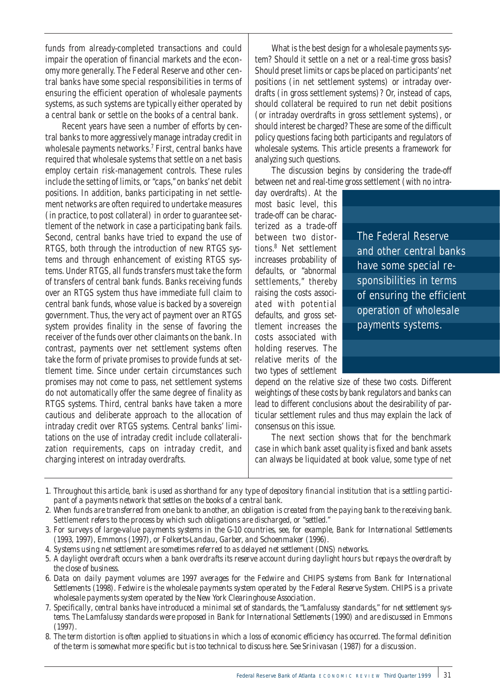funds from already-completed transactions and could impair the operation of financial markets and the economy more generally. The Federal Reserve and other central banks have some special responsibilities in terms of ensuring the efficient operation of wholesale payments systems, as such systems are typically either operated by a central bank or settle on the books of a central bank.

Recent years have seen a number of efforts by central banks to more aggressively manage intraday credit in wholesale payments networks.<sup>7</sup> First, central banks have required that wholesale systems that settle on a net basis employ certain risk-management controls. These rules include the setting of limits, or "caps," on banks' net debit positions. In addition, banks participating in net settlement networks are often required to undertake measures (in practice, to post collateral) in order to guarantee settlement of the network in case a participating bank fails. Second, central banks have tried to expand the use of RTGS, both through the introduction of new RTGS systems and through enhancement of existing RTGS systems. Under RTGS, all funds transfers must take the form of transfers of central bank funds. Banks receiving funds over an RTGS system thus have immediate full claim to central bank funds, whose value is backed by a sovereign government. Thus, the very act of payment over an RTGS system provides finality in the sense of favoring the receiver of the funds over other claimants on the bank. In contrast, payments over net settlement systems often take the form of private promises to provide funds at settlement time. Since under certain circumstances such promises may not come to pass, net settlement systems do not automatically offer the same degree of finality as RTGS systems. Third, central banks have taken a more cautious and deliberate approach to the allocation of intraday credit over RTGS systems. Central banks' limitations on the use of intraday credit include collateralization requirements, caps on intraday credit, and charging interest on intraday overdrafts.

What is the best design for a wholesale payments system? Should it settle on a net or a real-time gross basis? Should preset limits or caps be placed on participants' net positions (in net settlement systems) or intraday overdrafts (in gross settlement systems)? Or, instead of caps, should collateral be required to run net debit positions (or intraday overdrafts in gross settlement systems), or should interest be charged? These are some of the difficult policy questions facing both participants and regulators of wholesale systems. This article presents a framework for analyzing such questions.

The discussion begins by considering the trade-off between net and real-time gross settlement (with no intra-

day overdrafts). At the most basic level, this trade-off can be characterized as a trade-off between two distortions.8 Net settlement increases probability of defaults, or "abnormal settlements," thereby raising the costs associated with potential defaults, and gross settlement increases the costs associated with holding reserves. The relative merits of the two types of settlement

The Federal Reserve and other central banks have some special responsibilities in terms of ensuring the efficient operation of wholesale payments systems.

depend on the relative size of these two costs. Different weightings of these costs by bank regulators and banks can lead to different conclusions about the desirability of particular settlement rules and thus may explain the lack of consensus on this issue.

The next section shows that for the benchmark case in which bank asset quality is fixed and bank assets can always be liquidated at book value, some type of net

- *1. Throughout this article,* bank *is used as shorthand for any type of depository financial institution that is a settling participant of a payments network that settles on the books of a central bank.*
- *2. When funds are transferred from one bank to another, an obligation is created from the paying bank to the receiving bank.* Settlement *refers to the process by which such obligations are discharged, or "settled."*
- *3. For surveys of large-value payments systems in the G-10 countries, see, for example, Bank for International Settlements (1993, 1997), Emmons (1997), or Folkerts-Landau, Garber, and Schoenmaker (1996).*
- *4. Systems using net settlement are sometimes referred to as delayed net settlement (DNS) networks.*
- *5. A daylight overdraft occurs when a bank overdrafts its reserve account during daylight hours but repays the overdraft by the close of business.*
- *6. Data on daily payment volumes are 1997 averages for the Fedwire and CHIPS systems from Bank for International Settlements (1998). Fedwire is the wholesale payments system operated by the Federal Reserve System. CHIPS is a private wholesale payments system operated by the New York Clearinghouse Association.*
- *7. Specifically, central banks have introduced a minimal set of standards, the "Lamfalussy standards," for net settlement systems. The Lamfalussy standards were proposed in Bank for International Settlements (1990) and are discussed in Emmons (1997).*
- *8. The term* distortion *is often applied to situations in which a loss of economic efficiency has occurred. The formal definition of the term is somewhat more specific but is too technical to discuss here. See Srinivasan (1987) for a discussion.*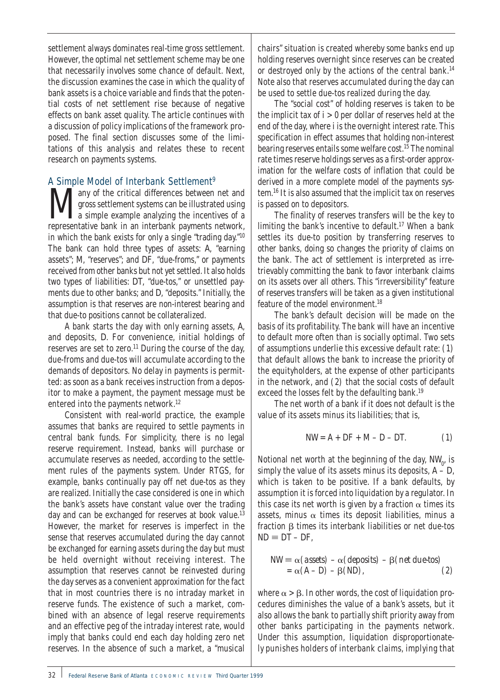settlement always dominates real-time gross settlement. However, the optimal net settlement scheme may be one that necessarily involves some chance of default. Next, the discussion examines the case in which the quality of bank assets is a choice variable and finds that the potential costs of net settlement rise because of negative effects on bank asset quality. The article continues with a discussion of policy implications of the framework proposed. The final section discusses some of the limitations of this analysis and relates these to recent research on payments systems.

# A Simple Model of Interbank Settlement<sup>9</sup>

**Many** of the critical differences between net and gross settlement systems can be illustrated using a simple example analyzing the incentives of a representative bank in an interbank payments petwork gross settlement systems can be illustrated using representative bank in an interbank payments network, in which the bank exists for only a single "trading day."10 The bank can hold three types of assets: *A*, "earning assets"; *M*, "reserves"; and *DF*, "due-froms," or payments received from other banks but not yet settled. It also holds two types of liabilities: *DT*, "due-tos," or unsettled payments due to other banks; and *D*, "deposits." Initially, the assumption is that reserves are non-interest bearing and that due-to positions cannot be collateralized.

A bank starts the day with only earning assets, *A*, and deposits, *D*. For convenience, initial holdings of reserves are set to zero.<sup>11</sup> During the course of the day, due-froms and due-tos will accumulate according to the demands of depositors. No delay in payments is permitted: as soon as a bank receives instruction from a depositor to make a payment, the payment message must be entered into the payments network.<sup>12</sup>

Consistent with real-world practice, the example assumes that banks are required to settle payments in central bank funds. For simplicity, there is no legal reserve requirement. Instead, banks will purchase or accumulate reserves as needed, according to the settlement rules of the payments system. Under RTGS, for example, banks continually pay off net due-tos as they are realized. Initially the case considered is one in which the bank's assets have constant value over the trading day and can be exchanged for reserves at book value.<sup>13</sup> However, the market for reserves is imperfect in the sense that reserves accumulated during the day cannot be exchanged for earning assets during the day but must be held overnight without receiving interest. The assumption that reserves cannot be reinvested during the day serves as a convenient approximation for the fact that in most countries there is no intraday market in reserve funds. The existence of such a market, combined with an absence of legal reserve requirements and an effective peg of the intraday interest rate, would imply that banks could end each day holding zero net reserves. In the absence of such a market, a "musical

chairs" situation is created whereby some banks end up holding reserves overnight since reserves can be created or destroyed only by the actions of the central bank.<sup>14</sup> Note also that reserves accumulated during the day can be used to settle due-tos realized during the day.

The "social cost" of holding reserves is taken to be the implicit tax of *i* > 0 per dollar of reserves held at the end of the day, where *i* is the overnight interest rate. This specification in effect assumes that holding non-interest bearing reserves entails some welfare cost.<sup>15</sup> The nominal rate times reserve holdings serves as a first-order approximation for the welfare costs of inflation that could be derived in a more complete model of the payments system.16 It is also assumed that the implicit tax on reserves is passed on to depositors.

The finality of reserves transfers will be the key to limiting the bank's incentive to default.<sup>17</sup> When a bank settles its due-to position by transferring reserves to other banks, doing so changes the priority of claims on the bank. The act of settlement is interpreted as irretrievably committing the bank to favor interbank claims on its assets over all others. This "irreversibility" feature of reserves transfers will be taken as a given institutional feature of the model environment.<sup>18</sup>

The bank's default decision will be made on the basis of its profitability. The bank will have an incentive to default more often than is socially optimal. Two sets of assumptions underlie this excessive default rate: (1) that default allows the bank to increase the priority of the equityholders, at the expense of other participants in the network, and (2) that the social costs of default exceed the losses felt by the defaulting bank.<sup>19</sup>

The net worth of a bank if it does not default is the value of its assets minus its liabilities; that is,

$$
NW = A + DF + M - D - DT.
$$
 (1)

Notional net worth at the beginning of the day,  $\mathit{NW}_0^\prime$ , is simply the value of its assets minus its deposits,  $A - D$ , which is taken to be positive*.* If a bank defaults, by assumption it is forced into liquidation by a regulator. In this case its net worth is given by a fraction  $\alpha$  times its assets, minus  $\alpha$  times its deposit liabilities, minus a fraction  $\beta$  times its interbank liabilities or net due-tos  $ND \equiv DT - DF$ ,

$$
NW \equiv \alpha \, (assets) \, -\alpha \, (deposits) \, -\beta \, (net \, due-tos) \\
= \alpha \, (A - D) \, -\beta \, (ND), \tag{2}
$$

where  $\alpha > \beta$ . In other words, the cost of liquidation procedures diminishes the value of a bank's assets, but it also allows the bank to partially shift priority away from other banks participating in the payments network. Under this assumption, liquidation disproportionately punishes holders of interbank claims, implying that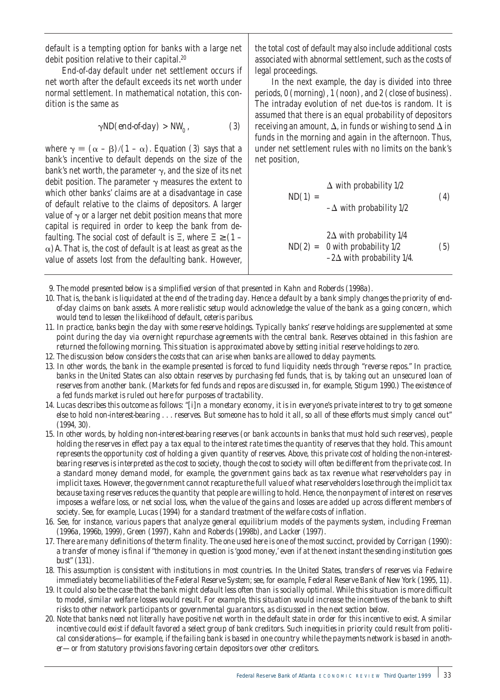default is a tempting option for banks with a large net debit position relative to their capital.<sup>20</sup>

End-of-day default under net settlement occurs if net worth after the default exceeds its net worth under normal settlement. In mathematical notation, this condition is the same as

$$
\gamma ND(end-of-day) > NW_0 , \qquad (3)
$$

where  $\gamma \equiv (\alpha - \beta)/(1 - \alpha)$ . Equation (3) says that a bank's incentive to default depends on the size of the bank's net worth, the parameter  $\gamma$ , and the size of its net debit position. The parameter  $\gamma$  measures the extent to which other banks' claims are at a disadvantage in case of default relative to the claims of depositors. A larger value of  $\gamma$  or a larger net debit position means that more capital is required in order to keep the bank from defaulting. The social cost of default is Ξ, where Ξ ≥ (1 *–*  $\alpha$ ) A. That is, the cost of default is at least as great as the value of assets lost from the defaulting bank. However,

the total cost of default may also include additional costs associated with abnormal settlement, such as the costs of legal proceedings.

In the next example, the day is divided into three periods, 0 (morning), 1 (noon), and 2 (close of business). The intraday evolution of net due-tos is random. It is assumed that there is an equal probability of depositors receiving an amount,  $\Delta$ , in funds or wishing to send  $\Delta$  in funds in the morning and again in the afternoon. Thus, under net settlement rules with no limits on the bank's net position,

$$
ND(1) = \begin{cases} \Delta & \text{with probability } 1/2\\ -\Delta & \text{with probability } 1/2 \end{cases} \tag{4}
$$

$$
ND(2) = \begin{cases} 2\Delta \text{ with probability } 1/4\\ 0 \text{ with probability } 1/2\\ -2\Delta \text{ with probability } 1/4. \end{cases} \tag{5}
$$

- *9. The model presented below is a simplified version of that presented in Kahn and Roberds (1998a).*
- *10. That is, the bank is liquidated at the end of the trading day. Hence a default by a bank simply changes the priority of endof-day claims on bank assets. A more realistic setup would acknowledge the value of the bank as a going concern, which would tend to lessen the likelihood of default, ceteris paribus.*
- *11. In practice, banks begin the day with some reserve holdings. Typically banks' reserve holdings are supplemented at some point during the day via overnight repurchase agreements with the central bank. Reserves obtained in this fashion are returned the following morning. This situation is approximated above by setting initial reserve holdings to zero.*
- *12. The discussion below considers the costs that can arise when banks are allowed to delay payments.*
- *13. In other words, the bank in the example presented is forced to fund liquidity needs through "reverse repos." In practice, banks in the United States can also obtain reserves by purchasing fed funds, that is, by taking out an unsecured loan of reserves from another bank. (Markets for fed funds and repos are discussed in, for example, Stigum 1990.) The existence of a fed funds market is ruled out here for purposes of tractability.*
- *14. Lucas describes this outcome as follows: "[i]n a monetary economy, it is in everyone's private interest to try to get someone else to hold non-interest-bearing . . . reserves. But someone has to hold it all, so all of these efforts must simply cancel out" (1994, 30).*
- *15. In other words, by holding non-interest-bearing reserves (or bank accounts in banks that must hold such reserves), people holding the reserves in effect pay a tax equal to the interest rate times the quantity of reserves that they hold. This amount represents the opportunity cost of holding a given quantity of reserves. Above, this private cost of holding the non-interestbearing reserves is interpreted as the cost to society, though the cost to society will often be different from the private cost. In a standard money demand model, for example, the government gains back as tax revenue what reserveholders pay in implicit taxes. However, the government cannot recapture the full value of what reserveholders lose through the implicit tax because taxing reserves reduces the quantity that people are willing to hold. Hence, the nonpayment of interest on reserves imposes a welfare loss, or net social loss, when the value of the gains and losses are added up across different members of society. See, for example, Lucas (1994) for a standard treatment of the welfare costs of inflation.*
- *16. See, for instance, various papers that analyze general equilibrium models of the payments system, including Freeman (1996a, 1996b, 1999), Green (1997), Kahn and Roberds (1998b), and Lacker (1997).*
- *17. There are many definitions of the term* finality*. The one used here is one of the most succinct, provided by Corrigan (1990): a transfer of money is final if "the money in question is 'good money,' even if at the next instant the sending institution goes bust" (131).*
- *18. This assumption is consistent with institutions in most countries. In the United States, transfers of reserves via Fedwire immediately become liabilities of the Federal Reserve System; see, for example, Federal Reserve Bank of New York (1995, 11).*
- *19. It could also be the case that the bank might default less often than is socially optimal. While this situation is more difficult to model, similar welfare losses would result. For example, this situation would increase the incentives of the bank to shift risks to other network participants or governmental guarantors, as discussed in the next section below.*
- *20. Note that banks need not literally have positive net worth in the default state in order for this incentive to exist. A similar incentive could exist if default favored a select group of bank creditors. Such inequities in priority could result from political considerations—for example, if the failing bank is based in one country while the payments network is based in another—or from statutory provisions favoring certain depositors over other creditors.*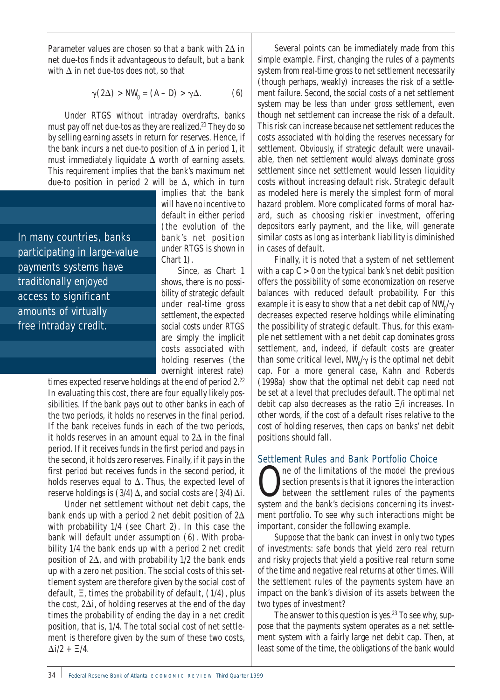Parameter values are chosen so that a bank with  $2\Delta$  in net due-tos finds it advantageous to default, but a bank with  $\Delta$  in net due-tos does not, so that

$$
\gamma(2\Delta) > NW_0 = (A - D) > \gamma \Delta.
$$
 (6)

Under RTGS without intraday overdrafts, banks must pay off net due-tos as they are realized.<sup>21</sup> They do so by selling earning assets in return for reserves. Hence, if the bank incurs a net due-to position of  $\Delta$  in period 1, it must immediately liquidate  $\Delta$  worth of earning assets. This requirement implies that the bank's maximum net due-to position in period 2 will be  $\Delta$ , which in turn

In many countries, banks participating in large-value payments systems have traditionally enjoyed access to significant amounts of virtually free intraday credit.

implies that the bank will have no incentive to default in either period (the evolution of the bank's net position under RTGS is shown in Chart 1).

Since, as Chart 1 shows, there is no possibility of strategic default under real-time gross settlement, the expected social costs under RTGS are simply the implicit costs associated with holding reserves (the overnight interest rate)

times expected reserve holdings at the end of period 2.<sup>22</sup> In evaluating this cost, there are four equally likely possibilities. If the bank pays out to other banks in each of the two periods, it holds no reserves in the final period. If the bank receives funds in each of the two periods, it holds reserves in an amount equal to  $2\Delta$  in the final period. If it receives funds in the first period and pays in the second, it holds zero reserves. Finally, if it pays in the first period but receives funds in the second period, it holds reserves equal to  $\Delta$ . Thus, the expected level of reserve holdings is  $(3/4)\Delta$ , and social costs are  $(3/4)\Delta i$ .

Under net settlement without net debit caps, the bank ends up with a period 2 net debit position of  $2\Delta$ with probability 1/4 (see Chart 2). In this case the bank will default under assumption (6). With probability 1/4 the bank ends up with a period 2 net credit position of  $2\Delta$ , and with probability  $1/2$  the bank ends up with a zero net position. The social costs of this settlement system are therefore given by the social cost of default, Ξ, times the probability of default, (1/4), plus the cost,  $2\Delta i$ , of holding reserves at the end of the day times the probability of ending the day in a net credit position, that is, 1/4. The total social cost of net settlement is therefore given by the sum of these two costs,  $\Delta i/2$  +  $\Xi/4$ .

Several points can be immediately made from this simple example. First, changing the rules of a payments system from real-time gross to net settlement necessarily (though perhaps, weakly) increases the risk of a settlement failure. Second, the social costs of a net settlement system may be less than under gross settlement, even though net settlement can increase the risk of a default. This risk can increase because net settlement reduces the costs associated with holding the reserves necessary for settlement. Obviously, if strategic default were unavailable, then net settlement would always dominate gross settlement since net settlement would lessen liquidity costs without increasing default risk. Strategic default as modeled here is merely the simplest form of moral hazard problem. More complicated forms of moral hazard, such as choosing riskier investment, offering depositors early payment, and the like, will generate similar costs as long as interbank liability is diminished in cases of default.

Finally, it is noted that a system of net settlement with a cap *C >* 0 on the typical bank's net debit position offers the possibility of some economization on reserve balances with reduced default probability. For this example it is easy to show that a net debit cap of  $\mathit{NW}_0' \gamma$ decreases expected reserve holdings while eliminating the possibility of strategic default. Thus, for this example net settlement with a net debit cap dominates gross settlement, and, indeed, if default costs are greater than some critical level,  $\mathit{NW}_0' \gamma$  is the optimal net debit cap. For a more general case, Kahn and Roberds (1998a) show that the optimal net debit cap need not be set at a level that precludes default. The optimal net debit cap also decreases as the ratio Ξ/*i* increases. In other words, if the cost of a default rises relative to the cost of holding reserves, then caps on banks' net debit positions should fall.

## Settlement Rules and Bank Portfolio Choice

**O** ne of the limitations of the model the previous<br>section presents is that it ignores the interaction<br>between the settlement rules of the payments section presents is that it ignores the interaction between the settlement rules of the payments system and the bank's decisions concerning its investment portfolio. To see why such interactions might be important, consider the following example.

Suppose that the bank can invest in only two types of investments: safe bonds that yield zero real return and risky projects that yield a positive real return some of the time and negative real returns at other times. Will the settlement rules of the payments system have an impact on the bank's division of its assets between the two types of investment?

The answer to this question is yes. $23$  To see why, suppose that the payments system operates as a net settlement system with a fairly large net debit cap. Then, at least some of the time, the obligations of the bank would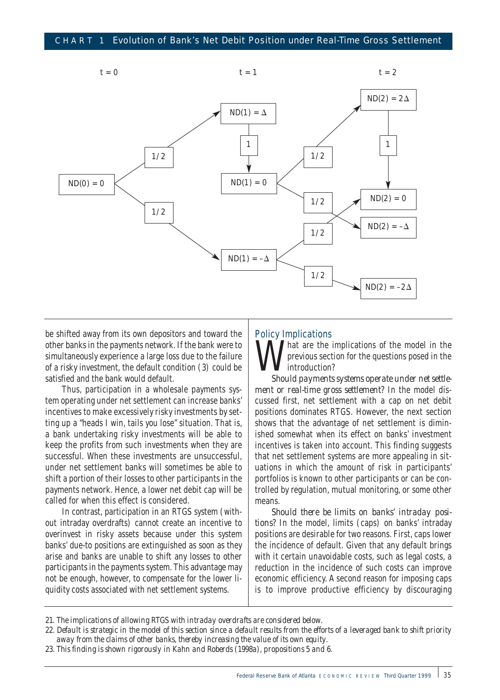

be shifted away from its own depositors and toward the other banks in the payments network. If the bank were to simultaneously experience a large loss due to the failure of a risky investment, the default condition (3) could be satisfied and the bank would default.

Thus, participation in a wholesale payments system operating under net settlement can increase banks' incentives to make excessively risky investments by setting up a "heads I win, tails you lose" situation. That is, a bank undertaking risky investments will be able to keep the profits from such investments when they are successful. When these investments are unsuccessful, under net settlement banks will sometimes be able to shift a portion of their losses to other participants in the payments network. Hence, a lower net debit cap will be called for when this effect is considered.

In contrast, participation in an RTGS system (without intraday overdrafts) cannot create an incentive to overinvest in risky assets because under this system banks' due-to positions are extinguished as soon as they arise and banks are unable to shift any losses to other participants in the payments system. This advantage may not be enough, however, to compensate for the lower liquidity costs associated with net settlement systems.

#### Policy Implications

That are the implications of the model in the previous section for the questions posed in the introduction?

*Should payments systems operate under net settlement or real-time gross settlement?* In the model discussed first, net settlement with a cap on net debit positions dominates RTGS. However, the next section shows that the advantage of net settlement is diminished somewhat when its effect on banks' investment incentives is taken into account. This finding suggests that net settlement systems are more appealing in situations in which the amount of risk in participants' portfolios is known to other participants or can be controlled by regulation, mutual monitoring, or some other means.

*Should there be limits on banks' intraday positions?* In the model, limits (caps) on banks' intraday positions are desirable for two reasons. First, caps lower the incidence of default. Given that any default brings with it certain unavoidable costs, such as legal costs, a reduction in the incidence of such costs can improve economic efficiency. A second reason for imposing caps is to improve productive efficiency by discouraging

*<sup>21.</sup> The implications of allowing RTGS with intraday overdrafts are considered below.*

*<sup>22.</sup> Default is strategic in the model of this section since a default results from the efforts of a leveraged bank to shift priority away from the claims of other banks, thereby increasing the value of its own equity.*

*<sup>23.</sup> This finding is shown rigorously in Kahn and Roberds (1998a), propositions 5 and 6.*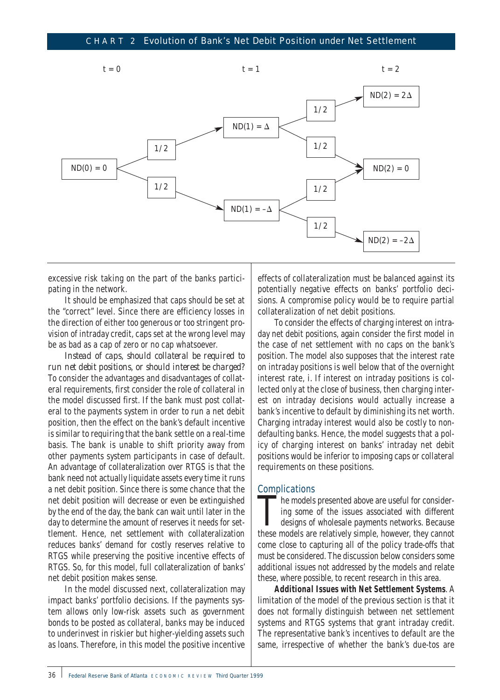

excessive risk taking on the part of the banks participating in the network.

It should be emphasized that caps should be set at the "correct" level. Since there are efficiency losses in the direction of either too generous or too stringent provision of intraday credit, caps set at the wrong level may be as bad as a cap of zero or no cap whatsoever.

*Instead of caps, should collateral be required to run net debit positions, or should interest be charged?* To consider the advantages and disadvantages of collateral requirements, first consider the role of collateral in the model discussed first. If the bank must post collateral to the payments system in order to run a net debit position, then the effect on the bank's default incentive is similar to requiring that the bank settle on a real-time basis. The bank is unable to shift priority away from other payments system participants in case of default. An advantage of collateralization over RTGS is that the bank need not actually liquidate assets every time it runs a net debit position. Since there is some chance that the net debit position will decrease or even be extinguished by the end of the day, the bank can wait until later in the day to determine the amount of reserves it needs for settlement. Hence, net settlement with collateralization reduces banks' demand for costly reserves relative to RTGS while preserving the positive incentive effects of RTGS. So, for this model, full collateralization of banks' net debit position makes sense.

In the model discussed next, collateralization may impact banks' portfolio decisions. If the payments system allows only low-risk assets such as government bonds to be posted as collateral, banks may be induced to underinvest in riskier but higher-yielding assets such as loans. Therefore, in this model the positive incentive

effects of collateralization must be balanced against its potentially negative effects on banks' portfolio decisions. A compromise policy would be to require partial collateralization of net debit positions.

To consider the effects of charging interest on intraday net debit positions, again consider the first model in the case of net settlement with no caps on the bank's position. The model also supposes that the interest rate on intraday positions is well below that of the overnight interest rate, *i.* If interest on intraday positions is collected only at the close of business, then charging interest on intraday decisions would actually increase a bank's incentive to default by diminishing its net worth. Charging intraday interest would also be costly to nondefaulting banks. Hence, the model suggests that a policy of charging interest on banks' intraday net debit positions would be inferior to imposing caps or collateral requirements on these positions.

## **Complications**

The models presented above are useful for considering some of the issues associated with different designs of wholesale payments networks. Because these models are relatively simple, however, they cannot come close to capturing all of the policy trade-offs that must be considered. The discussion below considers some additional issues not addressed by the models and relate these, where possible, to recent research in this area.

**Additional Issues with Net Settlement Systems**. A limitation of the model of the previous section is that it does not formally distinguish between net settlement systems and RTGS systems that grant intraday credit. The representative bank's incentives to default are the same, irrespective of whether the bank's due-tos are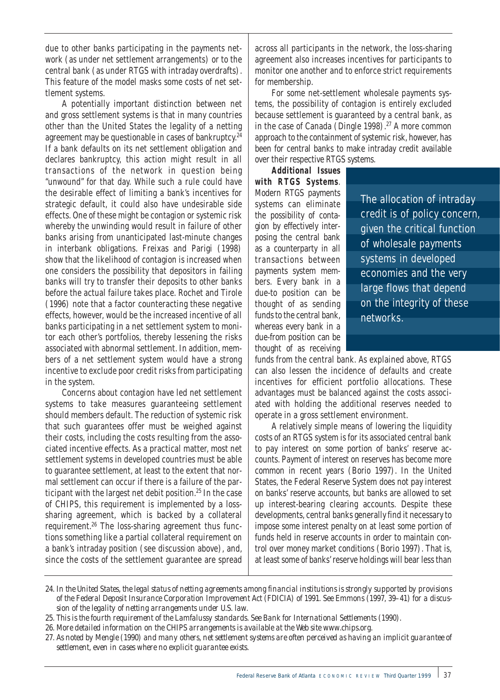due to other banks participating in the payments network (as under net settlement arrangements) or to the central bank (as under RTGS with intraday overdrafts). This feature of the model masks some costs of net settlement systems.

A potentially important distinction between net and gross settlement systems is that in many countries other than the United States the legality of a netting agreement may be questionable in cases of bankruptcy.<sup>24</sup> If a bank defaults on its net settlement obligation and declares bankruptcy, this action might result in all transactions of the network in question being "unwound" for that day. While such a rule could have the desirable effect of limiting a bank's incentives for strategic default, it could also have undesirable side effects. One of these might be contagion or systemic risk whereby the unwinding would result in failure of other banks arising from unanticipated last-minute changes in interbank obligations. Freixas and Parigi (1998) show that the likelihood of contagion is increased when one considers the possibility that depositors in failing banks will try to transfer their deposits to other banks before the actual failure takes place. Rochet and Tirole (1996) note that a factor counteracting these negative effects, however, would be the increased incentive of all banks participating in a net settlement system to monitor each other's portfolios, thereby lessening the risks associated with abnormal settlement. In addition, members of a net settlement system would have a strong incentive to exclude poor credit risks from participating in the system.

Concerns about contagion have led net settlement systems to take measures guaranteeing settlement should members default. The reduction of systemic risk that such guarantees offer must be weighed against their costs, including the costs resulting from the associated incentive effects. As a practical matter, most net settlement systems in developed countries must be able to guarantee settlement, at least to the extent that normal settlement can occur if there is a failure of the participant with the largest net debit position.<sup>25</sup> In the case of CHIPS, this requirement is implemented by a losssharing agreement, which is backed by a collateral requirement.26 The loss-sharing agreement thus functions something like a partial collateral requirement on a bank's intraday position (see discussion above), and, since the costs of the settlement guarantee are spread

across all participants in the network, the loss-sharing agreement also increases incentives for participants to monitor one another and to enforce strict requirements for membership.

For some net-settlement wholesale payments systems, the possibility of contagion is entirely excluded because settlement is guaranteed by a central bank, as in the case of Canada (Dingle 1998).<sup>27</sup> A more common approach to the containment of systemic risk, however, has been for central banks to make intraday credit available over their respective RTGS systems.

**Additional Issues with RTGS Systems**. Modern RTGS payments systems can eliminate the possibility of contagion by effectively interposing the central bank as a counterparty in all transactions between payments system members. Every bank in a due-to position can be thought of as sending funds to the central bank, whereas every bank in a due-from position can be thought of as receiving

The allocation of intraday credit is of policy concern, given the critical function of wholesale payments systems in developed economies and the very large flows that depend on the integrity of these networks.

funds from the central bank. As explained above, RTGS can also lessen the incidence of defaults and create incentives for efficient portfolio allocations. These advantages must be balanced against the costs associated with holding the additional reserves needed to operate in a gross settlement environment.

A relatively simple means of lowering the liquidity costs of an RTGS system is for its associated central bank to pay interest on some portion of banks' reserve accounts. Payment of interest on reserves has become more common in recent years (Borio 1997). In the United States, the Federal Reserve System does not pay interest on banks' reserve accounts, but banks are allowed to set up interest-bearing clearing accounts. Despite these developments, central banks generally find it necessary to impose some interest penalty on at least some portion of funds held in reserve accounts in order to maintain control over money market conditions (Borio 1997). That is, at least some of banks' reserve holdings will bear less than

*26. More detailed information on the CHIPS arrangements is available at the Web site www.chips.org.*

*<sup>24.</sup> In the United States, the legal status of netting agreements among financial institutions is strongly supported by provisions of the Federal Deposit Insurance Corporation Improvement Act (FDICIA) of 1991. See Emmons (1997, 39–41) for a discussion of the legality of netting arrangements under U.S. law.*

*<sup>25.</sup> This is the fourth requirement of the Lamfalussy standards. See Bank for International Settlements (1990).*

*<sup>27.</sup> As noted by Mengle (1990) and many others, net settlement systems are often perceived as having an implicit guarantee of settlement, even in cases where no explicit guarantee exists.*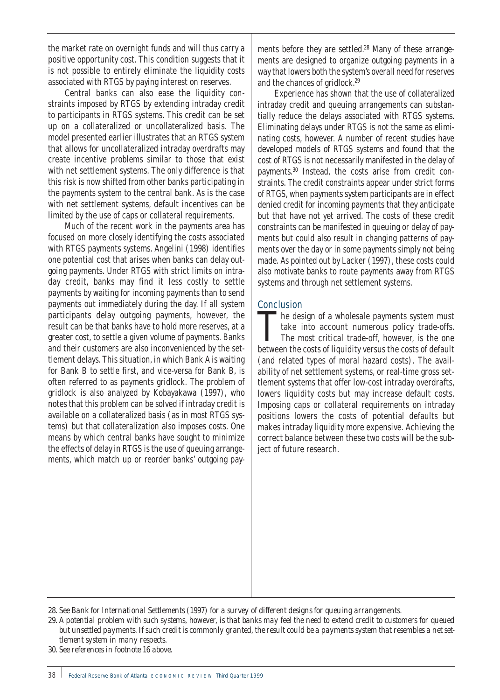the market rate on overnight funds and will thus carry a positive opportunity cost. This condition suggests that it is not possible to entirely eliminate the liquidity costs associated with RTGS by paying interest on reserves.

Central banks can also ease the liquidity constraints imposed by RTGS by extending intraday credit to participants in RTGS systems. This credit can be set up on a collateralized or uncollateralized basis. The model presented earlier illustrates that an RTGS system that allows for uncollateralized intraday overdrafts may create incentive problems similar to those that exist with net settlement systems. The only difference is that this risk is now shifted from other banks participating in the payments system to the central bank. As is the case with net settlement systems, default incentives can be limited by the use of caps or collateral requirements.

Much of the recent work in the payments area has focused on more closely identifying the costs associated with RTGS payments systems. Angelini (1998) identifies one potential cost that arises when banks can delay outgoing payments. Under RTGS with strict limits on intraday credit, banks may find it less costly to settle payments by waiting for incoming payments than to send payments out immediately during the day. If all system participants delay outgoing payments, however, the result can be that banks have to hold more reserves, at a greater cost, to settle a given volume of payments. Banks and their customers are also inconvenienced by the settlement delays. This situation, in which Bank A is waiting for Bank B to settle first, and vice-versa for Bank B, is often referred to as payments gridlock. The problem of gridlock is also analyzed by Kobayakawa (1997), who notes that this problem can be solved if intraday credit is available on a collateralized basis (as in most RTGS systems) but that collateralization also imposes costs. One means by which central banks have sought to minimize the effects of delay in RTGS is the use of queuing arrangements, which match up or reorder banks' outgoing pay-

ments before they are settled.<sup>28</sup> Many of these arrangements are designed to organize outgoing payments in a way that lowers both the system's overall need for reserves and the chances of gridlock.29

Experience has shown that the use of collateralized intraday credit and queuing arrangements can substantially reduce the delays associated with RTGS systems. Eliminating delays under RTGS is not the same as eliminating costs, however. A number of recent studies have developed models of RTGS systems and found that the cost of RTGS is not necessarily manifested in the delay of payments.30 Instead, the costs arise from credit constraints. The credit constraints appear under strict forms of RTGS, when payments system participants are in effect denied credit for incoming payments that they anticipate but that have not yet arrived. The costs of these credit constraints can be manifested in queuing or delay of payments but could also result in changing patterns of payments over the day or in some payments simply not being made. As pointed out by Lacker (1997), these costs could also motivate banks to route payments away from RTGS systems and through net settlement systems.

## Conclusion

The design of a wholesale payments system must take into account numerous policy trade-offs. The most critical trade-off, however, is the one between the costs of liquidity versus the costs of default (and related types of moral hazard costs). The availability of net settlement systems, or real-time gross settlement systems that offer low-cost intraday overdrafts, lowers liquidity costs but may increase default costs. Imposing caps or collateral requirements on intraday positions lowers the costs of potential defaults but makes intraday liquidity more expensive. Achieving the correct balance between these two costs will be the subject of future research.

*30. See references in footnote 16 above.*

*<sup>28.</sup> See Bank for International Settlements (1997) for a survey of different designs for queuing arrangements.*

*<sup>29.</sup> A potential problem with such systems, however, is that banks may feel the need to extend credit to customers for queued but unsettled payments. If such credit is commonly granted, the result could be a payments system that resembles a net settlement system in many respects.*